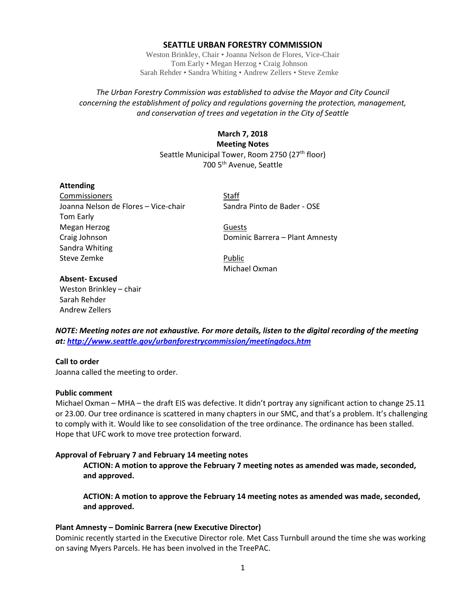### **SEATTLE URBAN FORESTRY COMMISSION**

Weston Brinkley, Chair • Joanna Nelson de Flores, Vice-Chair Tom Early • Megan Herzog • Craig Johnson Sarah Rehder • Sandra Whiting • Andrew Zellers • Steve Zemke

## *The Urban Forestry Commission was established to advise the Mayor and City Council concerning the establishment of policy and regulations governing the protection, management, and conservation of trees and vegetation in the City of Seattle*

# **March 7, 2018 Meeting Notes** Seattle Municipal Tower, Room 2750 (27<sup>th</sup> floor) 700 5th Avenue, Seattle

### **Attending**

Commissioners Staff Joanna Nelson de Flores – Vice-chair Sandra Pinto de Bader - OSE Tom Early Megan Herzog Guests Craig Johnson **Dominic Barrera – Plant Amnesty** Sandra Whiting Steve Zemke **Public** 

Michael Oxman

## **Absent- Excused**

Weston Brinkley – chair Sarah Rehder Andrew Zellers

*NOTE: Meeting notes are not exhaustive. For more details, listen to the digital recording of the meeting at:<http://www.seattle.gov/urbanforestrycommission/meetingdocs.htm>*

## **Call to order**

Joanna called the meeting to order.

#### **Public comment**

Michael Oxman – MHA – the draft EIS was defective. It didn't portray any significant action to change 25.11 or 23.00. Our tree ordinance is scattered in many chapters in our SMC, and that's a problem. It's challenging to comply with it. Would like to see consolidation of the tree ordinance. The ordinance has been stalled. Hope that UFC work to move tree protection forward.

#### **Approval of February 7 and February 14 meeting notes**

**ACTION: A motion to approve the February 7 meeting notes as amended was made, seconded, and approved.**

**ACTION: A motion to approve the February 14 meeting notes as amended was made, seconded, and approved.**

## **Plant Amnesty – Dominic Barrera (new Executive Director)**

Dominic recently started in the Executive Director role. Met Cass Turnbull around the time she was working on saving Myers Parcels. He has been involved in the TreePAC.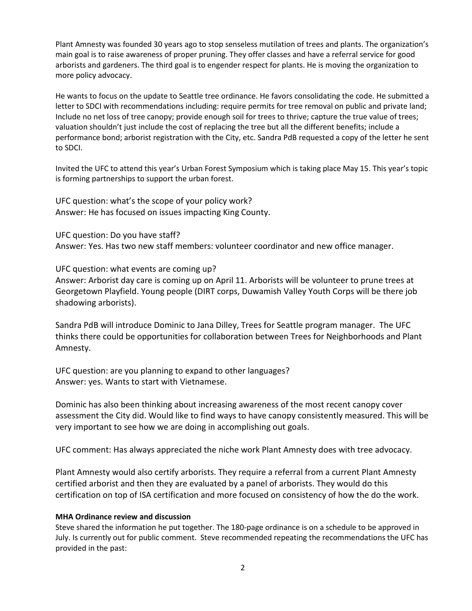Plant Amnesty was founded 30 years ago to stop senseless mutilation of trees and plants. The organization's main goal is to raise awareness of proper pruning. They offer classes and have a referral service for good arborists and gardeners. The third goal is to engender respect for plants. He is moving the organization to more policy advocacy.

He wants to focus on the update to Seattle tree ordinance. He favors consolidating the code. He submitted a letter to SDCI with recommendations including: require permits for tree removal on public and private land; Include no net loss of tree canopy; provide enough soil for trees to thrive; capture the true value of trees; valuation shouldn't just include the cost of replacing the tree but all the different benefits; include a performance bond; arborist registration with the City, etc. Sandra PdB requested a copy of the letter he sent to SDCI.

Invited the UFC to attend this year's Urban Forest Symposium which is taking place May 15. This year's topic is forming partnerships to support the urban forest.

UFC question: what's the scope of your policy work? Answer: He has focused on issues impacting King County.

UFC question: Do you have staff?

Answer: Yes. Has two new staff members: volunteer coordinator and new office manager.

UFC question: what events are coming up?

Answer: Arborist day care is coming up on April 11. Arborists will be volunteer to prune trees at Georgetown Playfield. Young people (DIRT corps, Duwamish Valley Youth Corps will be there job shadowing arborists).

Sandra PdB will introduce Dominic to Jana Dilley, Trees for Seattle program manager. The UFC thinks there could be opportunities for collaboration between Trees for Neighborhoods and Plant Amnesty.

UFC question: are you planning to expand to other languages? Answer: yes. Wants to start with Vietnamese.

Dominic has also been thinking about increasing awareness of the most recent canopy cover assessment the City did. Would like to find ways to have canopy consistently measured. This will be very important to see how we are doing in accomplishing out goals.

UFC comment: Has always appreciated the niche work Plant Amnesty does with tree advocacy.

Plant Amnesty would also certify arborists. They require a referral from a current Plant Amnesty certified arborist and then they are evaluated by a panel of arborists. They would do this certification on top of ISA certification and more focused on consistency of how the do the work.

## **MHA Ordinance review and discussion**

Steve shared the information he put together. The 180-page ordinance is on a schedule to be approved in July. Is currently out for public comment. Steve recommended repeating the recommendations the UFC has provided in the past: